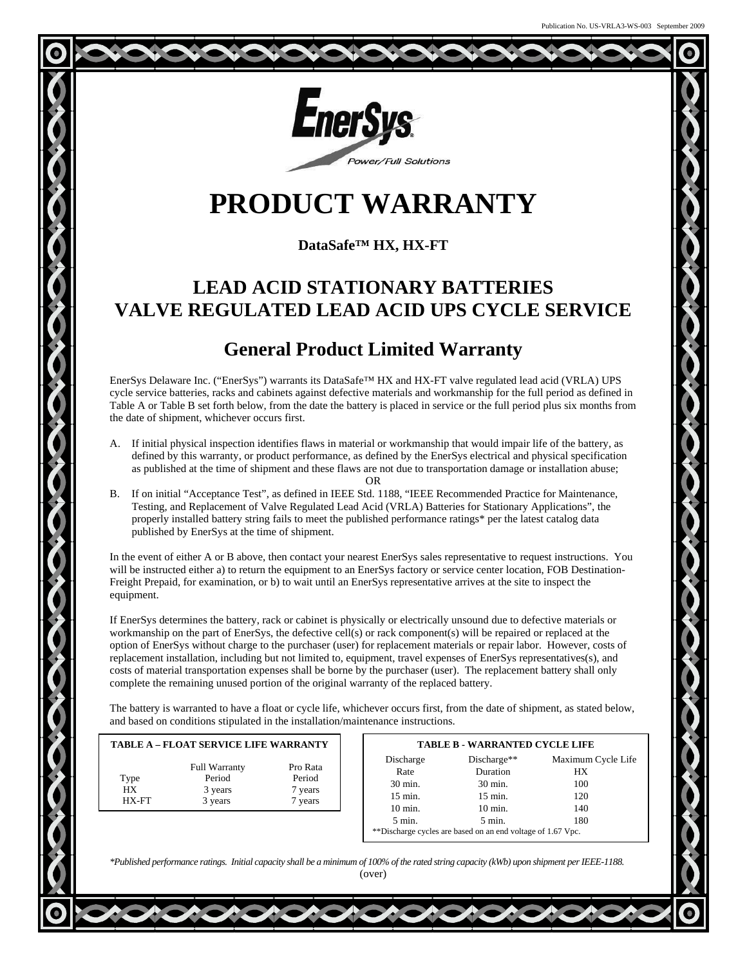

# **PRODUCT WARRANTY**

### **DataSafe™ HX, HX-FT**

## **LEAD ACID STATIONARY BATTERIES VALVE REGULATED LEAD ACID UPS CYCLE SERVICE**

### **General Product Limited Warranty**

EnerSys Delaware Inc. ("EnerSys") warrants its DataSafe™ HX and HX-FT valve regulated lead acid (VRLA) UPS cycle service batteries, racks and cabinets against defective materials and workmanship for the full period as defined in Table A or Table B set forth below, from the date the battery is placed in service or the full period plus six months from the date of shipment, whichever occurs first.

A. If initial physical inspection identifies flaws in material or workmanship that would impair life of the battery, as defined by this warranty, or product performance, as defined by the EnerSys electrical and physical specification as published at the time of shipment and these flaws are not due to transportation damage or installation abuse;

B. If on initial "Acceptance Test", as defined in IEEE Std. 1188, "IEEE Recommended Practice for Maintenance, Testing, and Replacement of Valve Regulated Lead Acid (VRLA) Batteries for Stationary Applications", the properly installed battery string fails to meet the published performance ratings\* per the latest catalog data published by EnerSys at the time of shipment.

In the event of either A or B above, then contact your nearest EnerSys sales representative to request instructions. You will be instructed either a) to return the equipment to an EnerSys factory or service center location, FOB Destination-Freight Prepaid, for examination, or b) to wait until an EnerSys representative arrives at the site to inspect the equipment.

If EnerSys determines the battery, rack or cabinet is physically or electrically unsound due to defective materials or workmanship on the part of EnerSys, the defective cell(s) or rack component(s) will be repaired or replaced at the option of EnerSys without charge to the purchaser (user) for replacement materials or repair labor. However, costs of replacement installation, including but not limited to, equipment, travel expenses of EnerSys representatives(s), and costs of material transportation expenses shall be borne by the purchaser (user). The replacement battery shall only complete the remaining unused portion of the original warranty of the replaced battery.

The battery is warranted to have a float or cycle life, whichever occurs first, from the date of shipment, as stated below, and based on conditions stipulated in the installation/maintenance instructions.

|                     |                                                      | <b>TABLE A - FLOAT SERVICE LIFE WARRANTY</b> |  | <b>TABLE B - WARRANTED CYCLE LIFE</b>                        |                                                              |                                               |
|---------------------|------------------------------------------------------|----------------------------------------------|--|--------------------------------------------------------------|--------------------------------------------------------------|-----------------------------------------------|
| Type<br>HX<br>HX-FT | <b>Full Warranty</b><br>Period<br>3 years<br>3 years | Pro Rata<br>Period<br>7 years<br>vears       |  | Discharge<br>Rate<br>30 min.<br>15 min.<br>$10 \text{ min.}$ | $Discharge**$<br>Duration<br>30 min.<br>15 min.<br>$10$ min. | Maximum Cycle Life<br>НX<br>100<br>120<br>140 |
|                     |                                                      |                                              |  | $5 \text{ min}$                                              | $5 \text{ min}$                                              | 1 Q A                                         |

| $5 \text{ min}$ . | $5 \text{ min}$ .                                           | 180 |
|-------------------|-------------------------------------------------------------|-----|
|                   | **Discharge cycles are based on an end voltage of 1.67 Vpc. |     |

*\*Published performance ratings. Initial capacity shall be a minimum of 100% of the rated string capacity (kWb) upon shipment per IEEE-1188.* (over)

OR